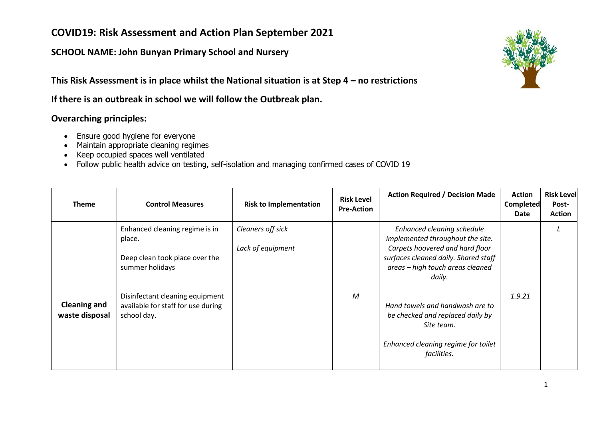#### **SCHOOL NAME: John Bunyan Primary School and Nursery**

**This Risk Assessment is in place whilst the National situation is at Step 4 – no restrictions**

**If there is an outbreak in school we will follow the Outbreak plan.**

#### **Overarching principles:**

- Ensure good hygiene for everyone
- Maintain appropriate cleaning regimes
- Keep occupied spaces well ventilated
- Follow public health advice on testing, self-isolation and managing confirmed cases of COVID 19

| Theme                                 | <b>Control Measures</b>                                                                                                                                                               | <b>Risk to Implementation</b>          | <b>Risk Level</b><br><b>Pre-Action</b> | <b>Action Required / Decision Made</b>                                                                                                                                                                                                                                                                                             | <b>Action</b><br><b>Completed</b><br>Date | <b>Risk Level</b><br>Post-<br><b>Action</b> |
|---------------------------------------|---------------------------------------------------------------------------------------------------------------------------------------------------------------------------------------|----------------------------------------|----------------------------------------|------------------------------------------------------------------------------------------------------------------------------------------------------------------------------------------------------------------------------------------------------------------------------------------------------------------------------------|-------------------------------------------|---------------------------------------------|
| <b>Cleaning and</b><br>waste disposal | Enhanced cleaning regime is in<br>place.<br>Deep clean took place over the<br>summer holidays<br>Disinfectant cleaning equipment<br>available for staff for use during<br>school day. | Cleaners off sick<br>Lack of equipment | M                                      | Enhanced cleaning schedule<br>implemented throughout the site.<br>Carpets hoovered and hard floor<br>surfaces cleaned daily. Shared staff<br>areas - high touch areas cleaned<br>daily.<br>Hand towels and handwash are to<br>be checked and replaced daily by<br>Site team.<br>Enhanced cleaning regime for toilet<br>facilities. | 1.9.21                                    |                                             |

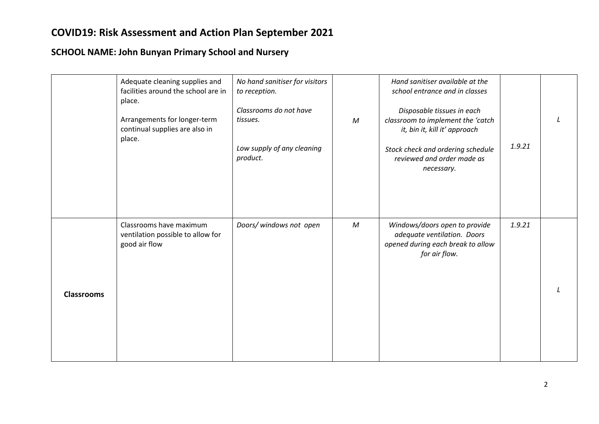|                   | Adequate cleaning supplies and<br>facilities around the school are in<br>place.<br>Arrangements for longer-term<br>continual supplies are also in<br>place. | No hand sanitiser for visitors<br>to reception.<br>Classrooms do not have<br>tissues.<br>Low supply of any cleaning<br>product. | $\mathcal M$     | Hand sanitiser available at the<br>school entrance and in classes<br>Disposable tissues in each<br>classroom to implement the 'catch<br>it, bin it, kill it' approach<br>Stock check and ordering schedule<br>reviewed and order made as<br>necessary. | 1.9.21 |  |
|-------------------|-------------------------------------------------------------------------------------------------------------------------------------------------------------|---------------------------------------------------------------------------------------------------------------------------------|------------------|--------------------------------------------------------------------------------------------------------------------------------------------------------------------------------------------------------------------------------------------------------|--------|--|
| <b>Classrooms</b> | Classrooms have maximum<br>ventilation possible to allow for<br>good air flow                                                                               | Doors/ windows not open                                                                                                         | $\boldsymbol{M}$ | Windows/doors open to provide<br>adequate ventilation. Doors<br>opened during each break to allow<br>for air flow.                                                                                                                                     | 1.9.21 |  |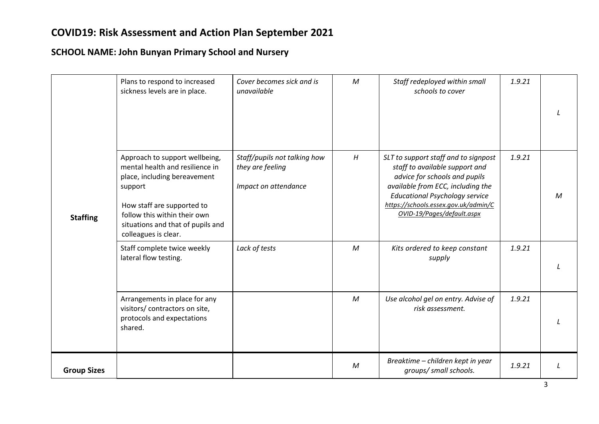|                    | Plans to respond to increased<br>sickness levels are in place.                                                                                                                                                                          | Cover becomes sick and is<br>unavailable                                 | M            | Staff redeployed within small<br>schools to cover                                                                                                                                                                                                           | 1.9.21 |   |
|--------------------|-----------------------------------------------------------------------------------------------------------------------------------------------------------------------------------------------------------------------------------------|--------------------------------------------------------------------------|--------------|-------------------------------------------------------------------------------------------------------------------------------------------------------------------------------------------------------------------------------------------------------------|--------|---|
| <b>Staffing</b>    | Approach to support wellbeing,<br>mental health and resilience in<br>place, including bereavement<br>support<br>How staff are supported to<br>follow this within their own<br>situations and that of pupils and<br>colleagues is clear. | Staff/pupils not talking how<br>they are feeling<br>Impact on attendance | H            | SLT to support staff and to signpost<br>staff to available support and<br>advice for schools and pupils<br>available from ECC, including the<br><b>Educational Psychology service</b><br>https://schools.essex.gov.uk/admin/C<br>OVID-19/Pages/default.aspx | 1.9.21 | м |
|                    | Staff complete twice weekly<br>lateral flow testing.                                                                                                                                                                                    | Lack of tests                                                            | $\mathcal M$ | Kits ordered to keep constant<br>supply                                                                                                                                                                                                                     | 1.9.21 |   |
|                    | Arrangements in place for any<br>visitors/ contractors on site,<br>protocols and expectations<br>shared.                                                                                                                                |                                                                          | $\mathcal M$ | Use alcohol gel on entry. Advise of<br>risk assessment.                                                                                                                                                                                                     | 1.9.21 |   |
| <b>Group Sizes</b> |                                                                                                                                                                                                                                         |                                                                          | $\mathcal M$ | Breaktime - children kept in year<br>groups/ small schools.                                                                                                                                                                                                 | 1.9.21 |   |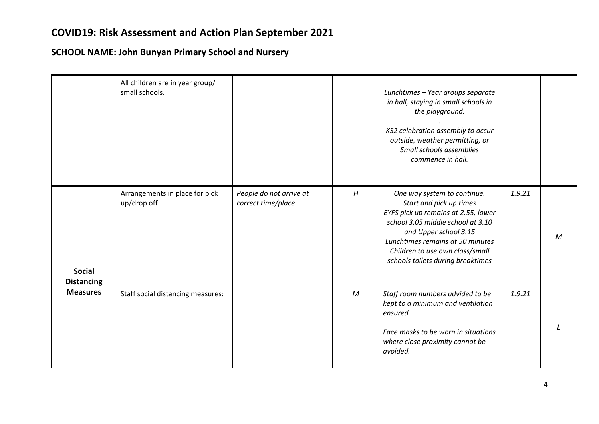|                                                       | All children are in year group/<br>small schools. |                                               |              | Lunchtimes - Year groups separate<br>in hall, staying in small schools in<br>the playground.<br>KS2 celebration assembly to occur<br>outside, weather permitting, or<br>Small schools assemblies<br>commence in hall.                                                   |        |              |
|-------------------------------------------------------|---------------------------------------------------|-----------------------------------------------|--------------|-------------------------------------------------------------------------------------------------------------------------------------------------------------------------------------------------------------------------------------------------------------------------|--------|--------------|
| <b>Social</b><br><b>Distancing</b><br><b>Measures</b> | Arrangements in place for pick<br>up/drop off     | People do not arrive at<br>correct time/place | H            | One way system to continue.<br>Start and pick up times<br>EYFS pick up remains at 2.55, lower<br>school 3.05 middle school at 3.10<br>and Upper school 3.15<br>Lunchtimes remains at 50 minutes<br>Children to use own class/small<br>schools toilets during breaktimes | 1.9.21 | $\mathcal M$ |
|                                                       | Staff social distancing measures:                 |                                               | $\mathcal M$ | Staff room numbers advided to be<br>kept to a minimum and ventilation<br>ensured.<br>Face masks to be worn in situations<br>where close proximity cannot be<br>avoided.                                                                                                 | 1.9.21 |              |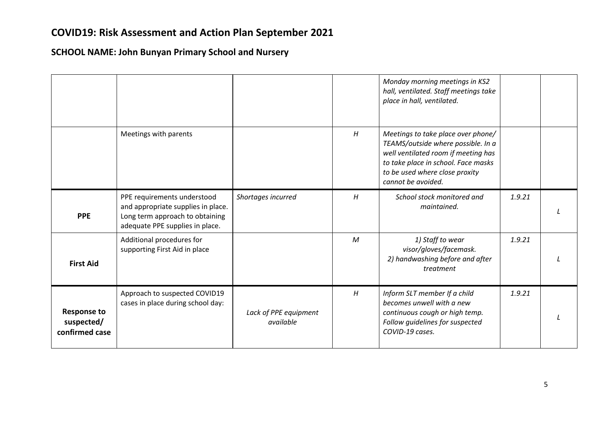|                                                    |                                                                                                                                         |                                    |   | Monday morning meetings in KS2<br>hall, ventilated. Staff meetings take<br>place in hall, ventilated.                                                                                                          |        |  |
|----------------------------------------------------|-----------------------------------------------------------------------------------------------------------------------------------------|------------------------------------|---|----------------------------------------------------------------------------------------------------------------------------------------------------------------------------------------------------------------|--------|--|
|                                                    | Meetings with parents                                                                                                                   |                                    | H | Meetings to take place over phone/<br>TEAMS/outside where possible. In a<br>well ventilated room if meeting has<br>to take place in school. Face masks<br>to be used where close proxity<br>cannot be avoided. |        |  |
| <b>PPE</b>                                         | PPE requirements understood<br>and appropriate supplies in place.<br>Long term approach to obtaining<br>adequate PPE supplies in place. | Shortages incurred                 | H | School stock monitored and<br>maintained.                                                                                                                                                                      | 1.9.21 |  |
| <b>First Aid</b>                                   | Additional procedures for<br>supporting First Aid in place                                                                              |                                    | M | 1) Staff to wear<br>visor/gloves/facemask.<br>2) handwashing before and after<br>treatment                                                                                                                     | 1.9.21 |  |
| <b>Response to</b><br>suspected/<br>confirmed case | Approach to suspected COVID19<br>cases in place during school day:                                                                      | Lack of PPE equipment<br>available | H | Inform SLT member If a child<br>becomes unwell with a new<br>continuous cough or high temp.<br>Follow guidelines for suspected<br>COVID-19 cases.                                                              | 1.9.21 |  |